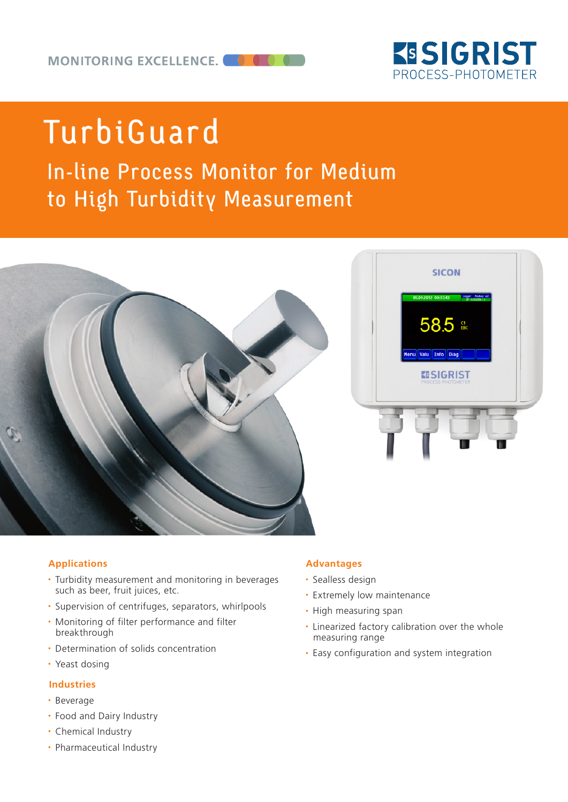

# TurbiGuard

In-line Process Monitor for Medium to High Turbidity Measurement



## **Applications**

- Turbidity measurement and monitoring in beverages such as beer, fruit juices, etc.
- Supervision of centrifuges, separators, whirlpools
- Monitoring of filter performance and filter breakthrough
- Determination of solids concentration
- Yeast dosing

## **Industries**

- Beverage
- Food and Dairy Industry
- Chemical Industry
- Pharmaceutical Industry

### **Advantages**

- Sealless design
- Extremely low maintenance
- High measuring span
- Linearized factory calibration over the whole measuring range
- Easy configuration and system integration